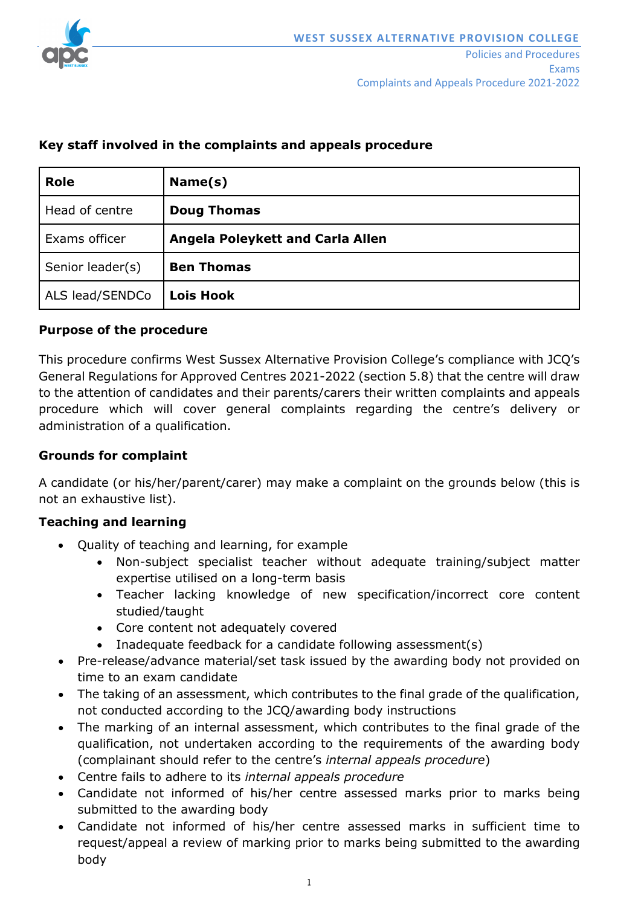

Complaints and Appeals Procedure 2021-2022

| <b>Role</b>      | Name(s)                          |
|------------------|----------------------------------|
| Head of centre   | <b>Doug Thomas</b>               |
| Exams officer    | Angela Poleykett and Carla Allen |
| Senior leader(s) | <b>Ben Thomas</b>                |
| ALS lead/SENDCo  | <b>Lois Hook</b>                 |

### **Key staff involved in the complaints and appeals procedure**

### **Purpose of the procedure**

This procedure confirms West Sussex Alternative Provision College's compliance with JCQ's General Regulations for Approved Centres 2021-2022 (section 5.8) that the centre will draw to the attention of candidates and their parents/carers their written complaints and appeals procedure which will cover general complaints regarding the centre's delivery or administration of a qualification.

## **Grounds for complaint**

A candidate (or his/her/parent/carer) may make a complaint on the grounds below (this is not an exhaustive list).

### **Teaching and learning**

- Quality of teaching and learning, for example
	- Non-subject specialist teacher without adequate training/subject matter expertise utilised on a long-term basis
	- Teacher lacking knowledge of new specification/incorrect core content studied/taught
	- Core content not adequately covered
	- Inadequate feedback for a candidate following assessment(s)
- Pre-release/advance material/set task issued by the awarding body not provided on time to an exam candidate
- The taking of an assessment, which contributes to the final grade of the qualification, not conducted according to the JCQ/awarding body instructions
- The marking of an internal assessment, which contributes to the final grade of the qualification, not undertaken according to the requirements of the awarding body (complainant should refer to the centre's *internal appeals procedure*)
- Centre fails to adhere to its *internal appeals procedure*
- Candidate not informed of his/her centre assessed marks prior to marks being submitted to the awarding body
- Candidate not informed of his/her centre assessed marks in sufficient time to request/appeal a review of marking prior to marks being submitted to the awarding body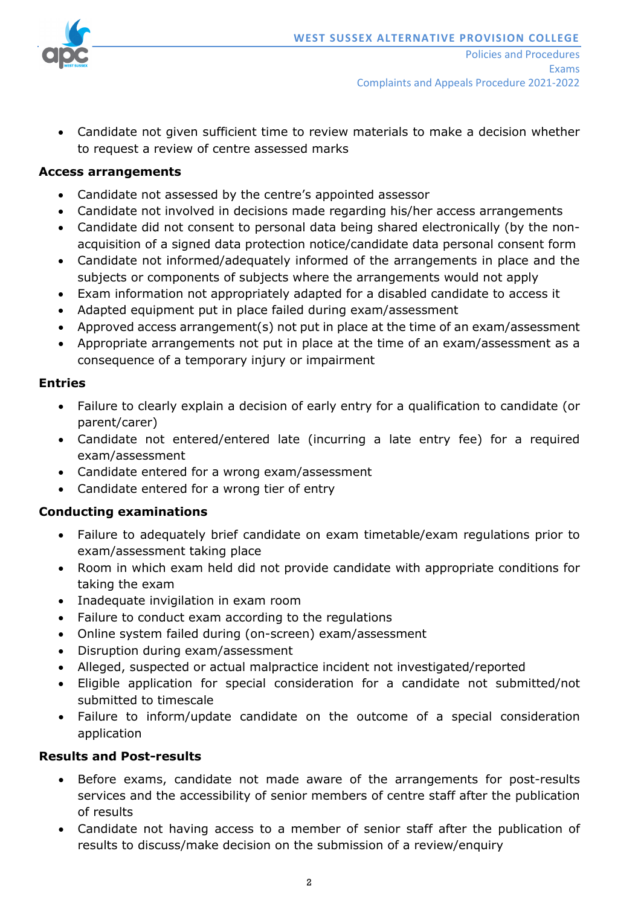

• Candidate not given sufficient time to review materials to make a decision whether to request a review of centre assessed marks

### **Access arrangements**

- Candidate not assessed by the centre's appointed assessor
- Candidate not involved in decisions made regarding his/her access arrangements
- Candidate did not consent to personal data being shared electronically (by the nonacquisition of a signed data protection notice/candidate data personal consent form
- Candidate not informed/adequately informed of the arrangements in place and the subjects or components of subjects where the arrangements would not apply
- Exam information not appropriately adapted for a disabled candidate to access it
- Adapted equipment put in place failed during exam/assessment
- Approved access arrangement(s) not put in place at the time of an exam/assessment
- Appropriate arrangements not put in place at the time of an exam/assessment as a consequence of a temporary injury or impairment

### **Entries**

- Failure to clearly explain a decision of early entry for a qualification to candidate (or parent/carer)
- Candidate not entered/entered late (incurring a late entry fee) for a required exam/assessment
- Candidate entered for a wrong exam/assessment
- Candidate entered for a wrong tier of entry

## **Conducting examinations**

- Failure to adequately brief candidate on exam timetable/exam regulations prior to exam/assessment taking place
- Room in which exam held did not provide candidate with appropriate conditions for taking the exam
- Inadequate invigilation in exam room
- Failure to conduct exam according to the regulations
- Online system failed during (on-screen) exam/assessment
- Disruption during exam/assessment
- Alleged, suspected or actual malpractice incident not investigated/reported
- Eligible application for special consideration for a candidate not submitted/not submitted to timescale
- Failure to inform/update candidate on the outcome of a special consideration application

### **Results and Post-results**

- Before exams, candidate not made aware of the arrangements for post-results services and the accessibility of senior members of centre staff after the publication of results
- Candidate not having access to a member of senior staff after the publication of results to discuss/make decision on the submission of a review/enquiry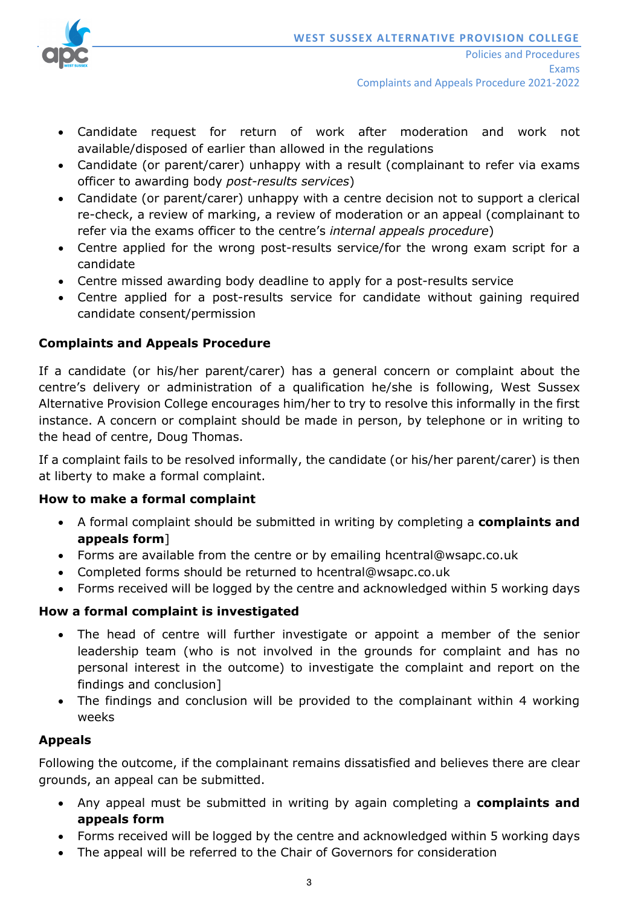

- Candidate request for return of work after moderation and work not available/disposed of earlier than allowed in the regulations
- Candidate (or parent/carer) unhappy with a result (complainant to refer via exams officer to awarding body *post-results services*)
- Candidate (or parent/carer) unhappy with a centre decision not to support a clerical re-check, a review of marking, a review of moderation or an appeal (complainant to refer via the exams officer to the centre's *internal appeals procedure*)
- Centre applied for the wrong post-results service/for the wrong exam script for a candidate
- Centre missed awarding body deadline to apply for a post-results service
- Centre applied for a post-results service for candidate without gaining required candidate consent/permission

# **Complaints and Appeals Procedure**

If a candidate (or his/her parent/carer) has a general concern or complaint about the centre's delivery or administration of a qualification he/she is following, West Sussex Alternative Provision College encourages him/her to try to resolve this informally in the first instance. A concern or complaint should be made in person, by telephone or in writing to the head of centre, Doug Thomas.

If a complaint fails to be resolved informally, the candidate (or his/her parent/carer) is then at liberty to make a formal complaint.

## **How to make a formal complaint**

- A formal complaint should be submitted in writing by completing a **complaints and appeals form**]
- Forms are available from the centre or by emailing hcentral@wsapc.co.uk
- Completed forms should be returned to hcentral@wsapc.co.uk
- Forms received will be logged by the centre and acknowledged within 5 working days

# **How a formal complaint is investigated**

- The head of centre will further investigate or appoint a member of the senior leadership team (who is not involved in the grounds for complaint and has no personal interest in the outcome) to investigate the complaint and report on the findings and conclusion]
- The findings and conclusion will be provided to the complainant within 4 working weeks

## **Appeals**

Following the outcome, if the complainant remains dissatisfied and believes there are clear grounds, an appeal can be submitted.

- Any appeal must be submitted in writing by again completing a **complaints and appeals form**
- Forms received will be logged by the centre and acknowledged within 5 working days
- The appeal will be referred to the Chair of Governors for consideration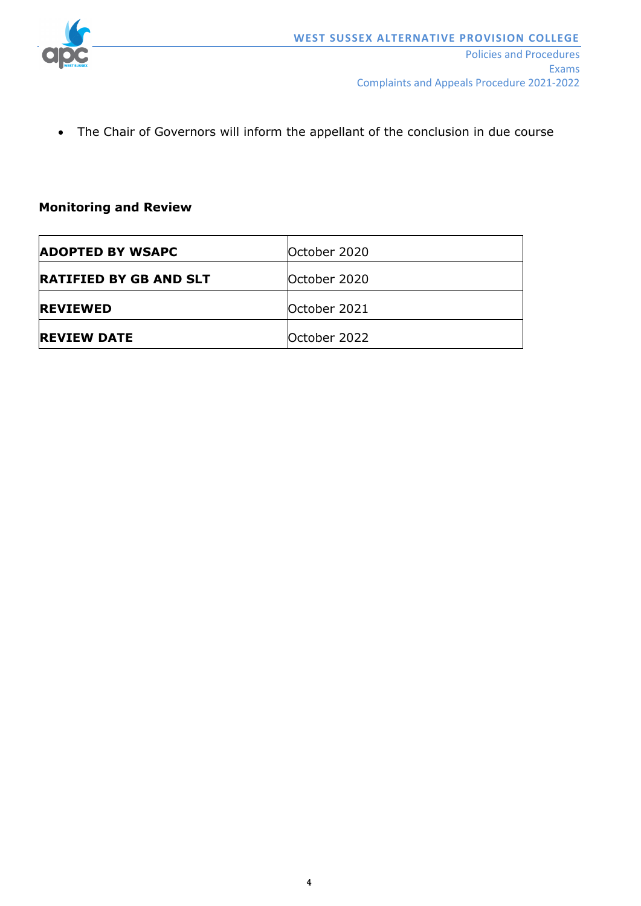

• The Chair of Governors will inform the appellant of the conclusion in due course

### **Monitoring and Review**

| <b>ADOPTED BY WSAPC</b>       | October 2020 |
|-------------------------------|--------------|
| <b>RATIFIED BY GB AND SLT</b> | October 2020 |
| <b>REVIEWED</b>               | October 2021 |
| <b>REVIEW DATE</b>            | October 2022 |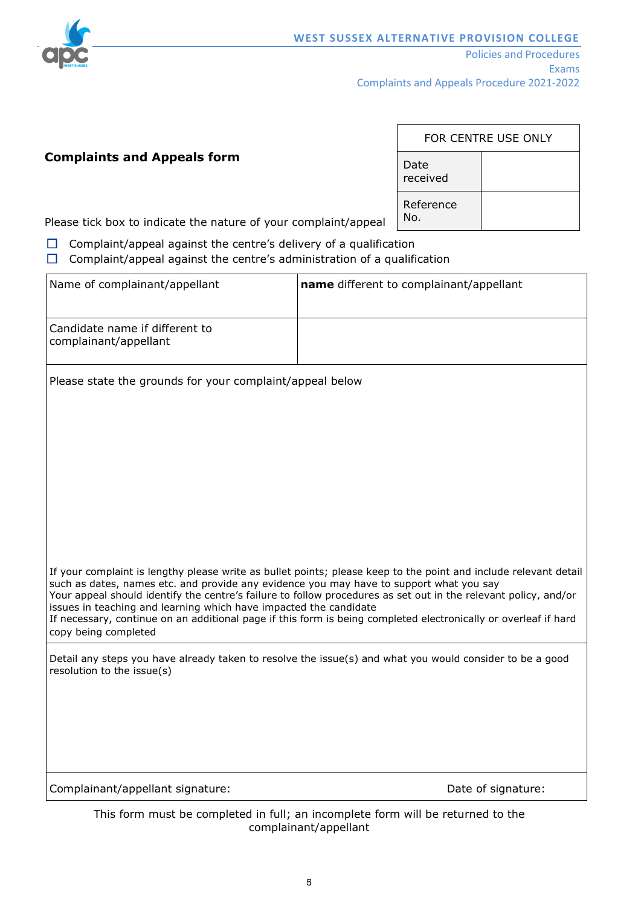

 $\mathbf{r}$ 

### **Complaints and Appeals form**

| FOR CENTRE USE ONLY |  |  |  |  |  |
|---------------------|--|--|--|--|--|
| Date<br>received    |  |  |  |  |  |
| Reference<br>No.    |  |  |  |  |  |

 $\overline{\phantom{0}}$ 

Please tick box to indicate the nature of your complaint/appeal

- $\Box$  Complaint/appeal against the centre's delivery of a qualification
- $\Box$  Complaint/appeal against the centre's administration of a qualification

| Name of complainant/appellant                                                                                                                                                                                                                                                                                                                                                                                                                                                                                                                  | name different to complainant/appellant |  |  |  |  |
|------------------------------------------------------------------------------------------------------------------------------------------------------------------------------------------------------------------------------------------------------------------------------------------------------------------------------------------------------------------------------------------------------------------------------------------------------------------------------------------------------------------------------------------------|-----------------------------------------|--|--|--|--|
| Candidate name if different to<br>complainant/appellant                                                                                                                                                                                                                                                                                                                                                                                                                                                                                        |                                         |  |  |  |  |
| Please state the grounds for your complaint/appeal below                                                                                                                                                                                                                                                                                                                                                                                                                                                                                       |                                         |  |  |  |  |
|                                                                                                                                                                                                                                                                                                                                                                                                                                                                                                                                                |                                         |  |  |  |  |
|                                                                                                                                                                                                                                                                                                                                                                                                                                                                                                                                                |                                         |  |  |  |  |
|                                                                                                                                                                                                                                                                                                                                                                                                                                                                                                                                                |                                         |  |  |  |  |
|                                                                                                                                                                                                                                                                                                                                                                                                                                                                                                                                                |                                         |  |  |  |  |
| If your complaint is lengthy please write as bullet points; please keep to the point and include relevant detail<br>such as dates, names etc. and provide any evidence you may have to support what you say<br>Your appeal should identify the centre's failure to follow procedures as set out in the relevant policy, and/or<br>issues in teaching and learning which have impacted the candidate<br>If necessary, continue on an additional page if this form is being completed electronically or overleaf if hard<br>copy being completed |                                         |  |  |  |  |
| Detail any steps you have already taken to resolve the issue(s) and what you would consider to be a good<br>resolution to the issue(s)                                                                                                                                                                                                                                                                                                                                                                                                         |                                         |  |  |  |  |
|                                                                                                                                                                                                                                                                                                                                                                                                                                                                                                                                                |                                         |  |  |  |  |
|                                                                                                                                                                                                                                                                                                                                                                                                                                                                                                                                                |                                         |  |  |  |  |
| Complainant/appellant signature:                                                                                                                                                                                                                                                                                                                                                                                                                                                                                                               | Date of signature:                      |  |  |  |  |

This form must be completed in full; an incomplete form will be returned to the complainant/appellant